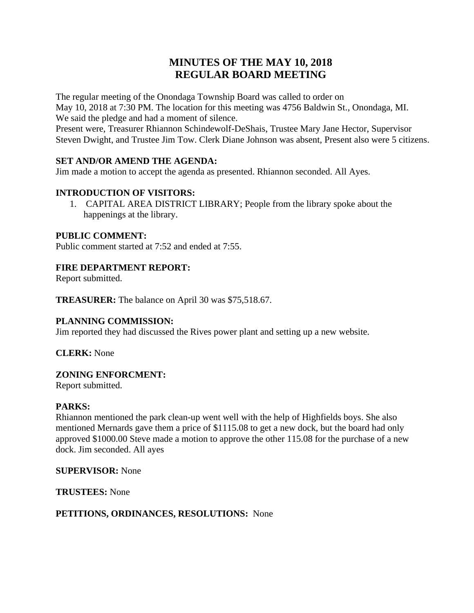# **MINUTES OF THE MAY 10, 2018 REGULAR BOARD MEETING**

The regular meeting of the Onondaga Township Board was called to order on May 10, 2018 at 7:30 PM. The location for this meeting was 4756 Baldwin St., Onondaga, MI. We said the pledge and had a moment of silence.

Present were, Treasurer Rhiannon Schindewolf-DeShais, Trustee Mary Jane Hector, Supervisor Steven Dwight, and Trustee Jim Tow. Clerk Diane Johnson was absent, Present also were 5 citizens.

# **SET AND/OR AMEND THE AGENDA:**

Jim made a motion to accept the agenda as presented. Rhiannon seconded. All Ayes.

# **INTRODUCTION OF VISITORS:**

1. CAPITAL AREA DISTRICT LIBRARY; People from the library spoke about the happenings at the library.

### **PUBLIC COMMENT:**

Public comment started at 7:52 and ended at 7:55.

### **FIRE DEPARTMENT REPORT:**

Report submitted.

**TREASURER:** The balance on April 30 was \$75,518.67.

#### **PLANNING COMMISSION:**

Jim reported they had discussed the Rives power plant and setting up a new website.

**CLERK:** None

#### **ZONING ENFORCMENT:**

Report submitted.

#### **PARKS:**

Rhiannon mentioned the park clean-up went well with the help of Highfields boys. She also mentioned Mernards gave them a price of \$1115.08 to get a new dock, but the board had only approved \$1000.00 Steve made a motion to approve the other 115.08 for the purchase of a new dock. Jim seconded. All ayes

#### **SUPERVISOR:** None

**TRUSTEES:** None

#### **PETITIONS, ORDINANCES, RESOLUTIONS:** None